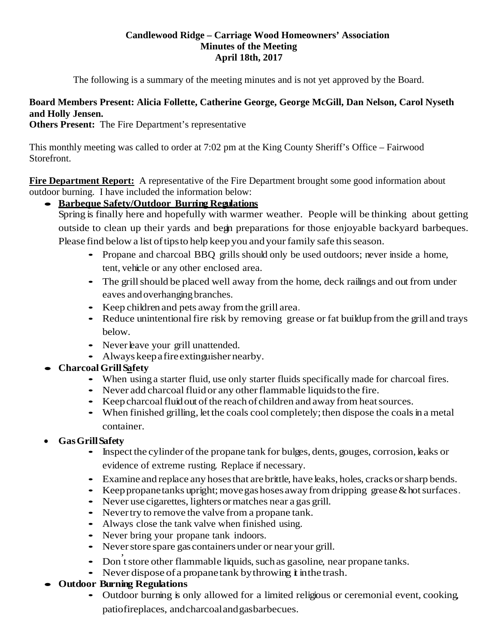## **Candlewood Ridge – Carriage Wood Homeowners' Association Minutes of the Meeting April 18th, 2017**

The following is a summary of the meeting minutes and is not yet approved by the Board.

# **Board Members Present: Alicia Follette, Catherine George, George McGill, Dan Nelson, Carol Nyseth and Holly Jensen.**

**Others Present:** The Fire Department's representative

This monthly meeting was called to order at 7:02 pm at the King County Sheriff's Office – Fairwood Storefront.

**Fire Department Report:** A representative of the Fire Department brought some good information about outdoor burning. I have included the information below:

• **Barbeque Safety/Outdoor Burning Regulations**

Spring is finally here and hopefully with warmer weather. People will be thinking about getting outside to clean up their yards and begin preparations for those enjoyable backyard barbeques. Please find below a list of tips to help keep you and your family safe this season.

- Propane and charcoal BBQ grills should only be used outdoors; never inside <sup>a</sup> home, tent, vehicle or any other enclosed area.
- The grill should be placed well away from the home, deck railings and out from under eaves andoverhanging branches.
- Keep children and pets away fromthe grill area.
- Reduce unintentional fire risk by removing grease or fat buildup from the grill and trays below.
- Never have your grill unattended.
- Always keepafire extinguisher nearby.
- **CharcoalGrillSafety**
	- When using <sup>a</sup> starter fluid, use only starter fluids specifically made for charcoal fires.
	- Never add charcoal fluid or any other flammable liquids to the fire.
	- Keep charcoal fluid out of the reach of children and away from heat sources.
	- When finished grilling, let the coals cool completely; then dispose the coals in a metal container.
- **GasGrillSafety**
	- Inspect the cylinder of the propane tank for bulges, dents, gouges, corrosion, leaks or evidence of extreme rusting. Replace if necessary.
	- Examine and replace any hoses that are brittle, have leaks, holes, cracks or sharp bends.
	- Keep propanetanks upright; move gas hoses away from dripping grease  $\&$  hot surfaces.
	- Never use cigarettes, lighters or matches near a gas grill.
	- Nevertry to remove the valve from a propane tank.
	- Always close the tank valve when finished using.
	- Never bring your propane tank indoors.
	- Never store spare gas containers under or near your grill.
	- Don't store other flammable liquids, such as gasoline, near propane tanks.
	- Never dispose of a propanetank by throwing  $\dot{\mathbf{t}}$  in the trash.
- **Outdoor Burning Regulations**
	- Outdoor burning is only allowed for a limited religious or ceremonial event, cooking, patiofireplaces, andcharcoalandgasbarbecues.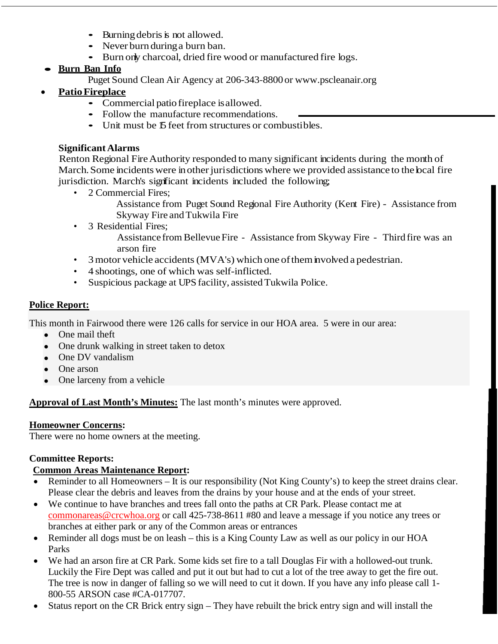- $\bullet$  Burning debris is not allowed.
- Never burn during a burn ban.
- Burn only charcoal, dried fire wood or manufactured fire logs.
- **Burn Ban Info**
	- Puget Sound Clean Air Agency at 206-343-8800 or [www.pscleanair.org](http://www.pscleanair.org/)
- **PatioFireplace** 
	- Commercial patio fireplace isallowed.
	- Follow the manufacture recommendations.
	- Unit must be 15 feet from structures or combustibles.

## **SignificantAlarms**

Renton Regional FireAuthority responded to many significant incidents during the month of March. Some incidents were in other jurisdictions where we provided assistance to the bcal fire jurisdiction. March's significant incidents included the following;

- 2 Commercial Fires;
	- Assistance from Puget Sound Regional Fire Authority (Kent Fire) Assistance from Skyway Fire andTukwila Fire
- 3 Residential Fires:

Assistance from Bellevue Fire - Assistance from Skyway Fire - Third fire was an arson fire

- 3 motor vehicle accidents (MVA's) which one of them involved a pedestrian.
- 4 shootings, one of which was self-inflicted.
- Suspicious package at UPS facility, assisted Tukwila Police.

## **Police Report:**

This month in Fairwood there were 126 calls for service in our HOA area. 5 were in our area:

- One mail theft
- One drunk walking in street taken to detox
- One DV vandalism
- One arson
- One larceny from a vehicle

# **Approval of Last Month's Minutes:** The last month's minutes were approved.

## **Homeowner Concerns:**

There were no home owners at the meeting.

# **Committee Reports:**

# **Common Areas Maintenance Report:**

- Reminder to all Homeowners It is our responsibility (Not King County's) to keep the street drains clear. Please clear the debris and leaves from the drains by your house and at the ends of your street.
- We continue to have branches and trees fall onto the paths at CR Park. Please contact me at [commonareas@crcwhoa.org](mailto:commonareas@crcwhoa.org) or call 425-738-8611 #80 and leave a message if you notice any trees or branches at either park or any of the Common areas or entrances
- Reminder all dogs must be on leash this is a King County Law as well as our policy in our HOA Parks
- We had an arson fire at CR Park. Some kids set fire to a tall Douglas Fir with a hollowed-out trunk. Luckily the Fire Dept was called and put it out but had to cut a lot of the tree away to get the fire out. The tree is now in danger of falling so we will need to cut it down. If you have any info please call 1- 800-55 ARSON case #CA-017707.
- Status report on the CR Brick entry sign They have rebuilt the brick entry sign and will install the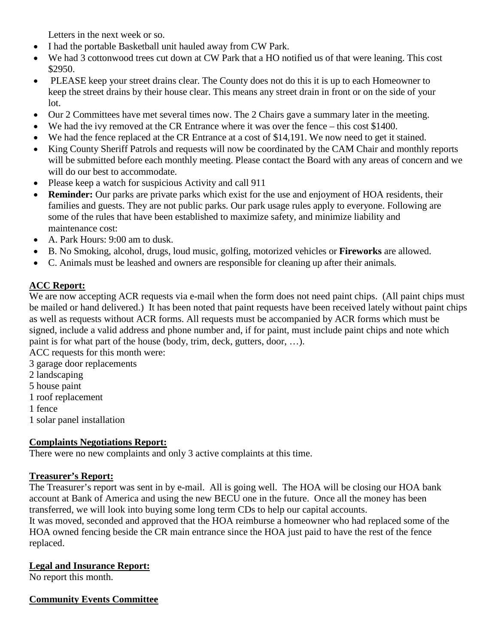Letters in the next week or so.

- I had the portable Basketball unit hauled away from CW Park.
- We had 3 cottonwood trees cut down at CW Park that a HO notified us of that were leaning. This cost \$2950.
- PLEASE keep your street drains clear. The County does not do this it is up to each Homeowner to keep the street drains by their house clear. This means any street drain in front or on the side of your lot.
- Our 2 Committees have met several times now. The 2 Chairs gave a summary later in the meeting.
- We had the ivy removed at the CR Entrance where it was over the fence this cost \$1400.
- We had the fence replaced at the CR Entrance at a cost of \$14,191. We now need to get it stained.
- King County Sheriff Patrols and requests will now be coordinated by the CAM Chair and monthly reports will be submitted before each monthly meeting. Please contact the Board with any areas of concern and we will do our best to accommodate.
- Please keep a watch for suspicious Activity and call 911
- **Reminder:** Our parks are private parks which exist for the use and enjoyment of HOA residents, their families and guests. They are not public parks. Our park usage rules apply to everyone. Following are some of the rules that have been established to maximize safety, and minimize liability and maintenance cost:
- A. Park Hours: 9:00 am to dusk.
- B. No Smoking, alcohol, drugs, loud music, golfing, motorized vehicles or **Fireworks** are allowed.
- C. Animals must be leashed and owners are responsible for cleaning up after their animals.

# **ACC Report:**

We are now accepting ACR requests via e-mail when the form does not need paint chips. (All paint chips must be mailed or hand delivered.) It has been noted that paint requests have been received lately without paint chips as well as requests without ACR forms. All requests must be accompanied by ACR forms which must be signed, include a valid address and phone number and, if for paint, must include paint chips and note which paint is for what part of the house (body, trim, deck, gutters, door, …).

ACC requests for this month were:

- 3 garage door replacements
- 2 landscaping
- 5 house paint
- 1 roof replacement
- 1 fence
- 1 solar panel installation

# **Complaints Negotiations Report:**

There were no new complaints and only 3 active complaints at this time.

## **Treasurer's Report:**

The Treasurer's report was sent in by e-mail. All is going well. The HOA will be closing our HOA bank account at Bank of America and using the new BECU one in the future. Once all the money has been transferred, we will look into buying some long term CDs to help our capital accounts.

It was moved, seconded and approved that the HOA reimburse a homeowner who had replaced some of the HOA owned fencing beside the CR main entrance since the HOA just paid to have the rest of the fence replaced.

# **Legal and Insurance Report:**

No report this month.

## **Community Events Committee**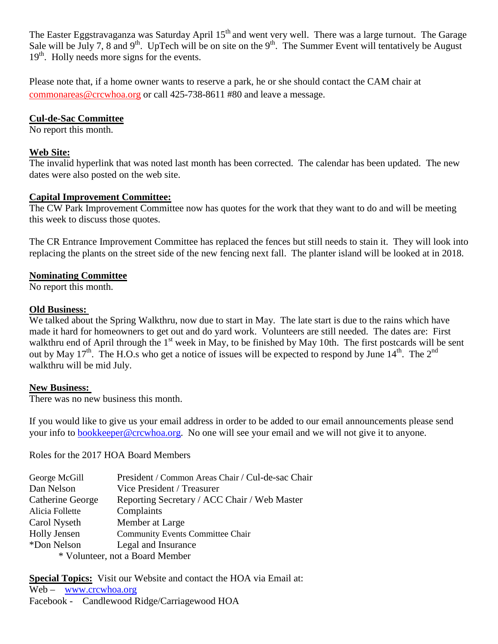The Easter Eggstravaganza was Saturday April 15<sup>th</sup> and went very well. There was a large turnout. The Garage Sale will be July 7, 8 and 9<sup>th</sup>. UpTech will be on site on the 9<sup>th</sup>. The Summer Event will tentatively be August  $19<sup>th</sup>$ . Holly needs more signs for the events.

Please note that, if a home owner wants to reserve a park, he or she should contact the CAM chair at [commonareas@crcwhoa.org](mailto:commonareas@crcwhoa.org) or call 425-738-8611 #80 and leave a message.

## **Cul-de-Sac Committee**

No report this month.

#### **Web Site:**

The invalid hyperlink that was noted last month has been corrected. The calendar has been updated. The new dates were also posted on the web site.

### **Capital Improvement Committee:**

The CW Park Improvement Committee now has quotes for the work that they want to do and will be meeting this week to discuss those quotes.

The CR Entrance Improvement Committee has replaced the fences but still needs to stain it. They will look into replacing the plants on the street side of the new fencing next fall. The planter island will be looked at in 2018.

#### **Nominating Committee**

No report this month.

### **Old Business:**

We talked about the Spring Walkthru, now due to start in May. The late start is due to the rains which have made it hard for homeowners to get out and do yard work. Volunteers are still needed. The dates are: First walkthru end of April through the  $1<sup>st</sup>$  week in May, to be finished by May 10th. The first postcards will be sent out by May 17<sup>th</sup>. The H.O.s who get a notice of issues will be expected to respond by June  $14<sup>th</sup>$ . The  $2<sup>nd</sup>$ walkthru will be mid July.

#### **New Business:**

There was no new business this month.

If you would like to give us your email address in order to be added to our email announcements please send your info to [bookkeeper@crcwhoa.org.](mailto:bookkeeper@crcwhoa.org) No one will see your email and we will not give it to anyone.

Roles for the 2017 HOA Board Members

| George McGill       | President / Common Areas Chair / Cul-de-sac Chair |
|---------------------|---------------------------------------------------|
| Dan Nelson          | Vice President / Treasurer                        |
| Catherine George    | Reporting Secretary / ACC Chair / Web Master      |
| Alicia Follette     | Complaints                                        |
| Carol Nyseth        | Member at Large                                   |
| <b>Holly Jensen</b> | <b>Community Events Committee Chair</b>           |
| *Don Nelson         | Legal and Insurance                               |
|                     | * Volunteer, not a Board Member                   |

**Special Topics:** Visit our Website and contact the HOA via Email at: Web – [www.crcwhoa.org](http://www.crcwhoa.org/) Facebook - Candlewood Ridge/Carriagewood HOA